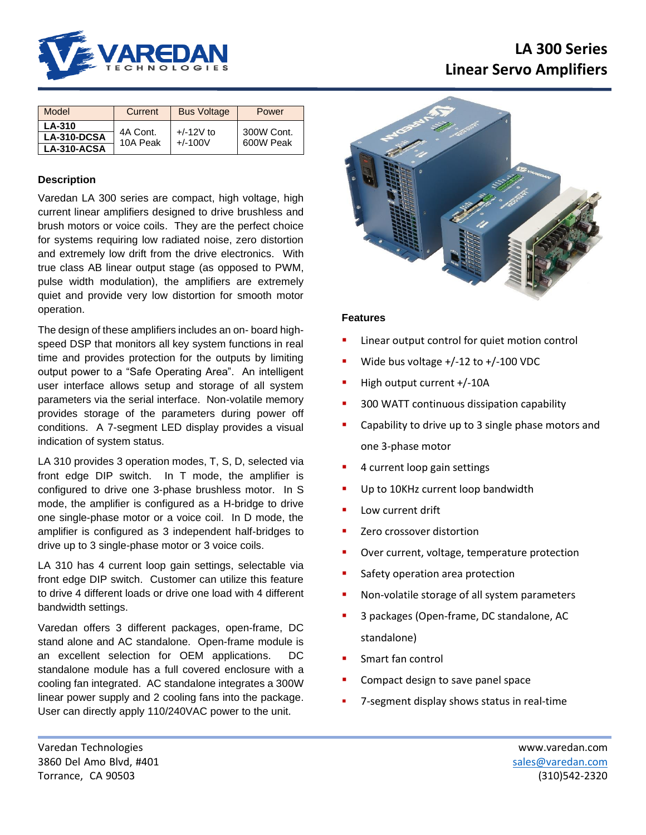

# **LA 300 Series Linear Servo Amplifiers**

| Model       | Current              | <b>Bus Voltage</b>       | Power                   |
|-------------|----------------------|--------------------------|-------------------------|
| LA-310      | 4A Cont.<br>10A Peak | $+/-12V$ to<br>$+/-100V$ | 300W Cont.<br>600W Peak |
| LA-310-DCSA |                      |                          |                         |
| LA-310-ACSA |                      |                          |                         |

# **Description**

Varedan LA 300 series are compact, high voltage, high current linear amplifiers designed to drive brushless and brush motors or voice coils. They are the perfect choice for systems requiring low radiated noise, zero distortion and extremely low drift from the drive electronics. With true class AB linear output stage (as opposed to PWM, pulse width modulation), the amplifiers are extremely quiet and provide very low distortion for smooth motor operation.

The design of these amplifiers includes an on- board highspeed DSP that monitors all key system functions in real time and provides protection for the outputs by limiting output power to a "Safe Operating Area". An intelligent user interface allows setup and storage of all system parameters via the serial interface. Non-volatile memory provides storage of the parameters during power off conditions. A 7-segment LED display provides a visual indication of system status.

LA 310 provides 3 operation modes, T, S, D, selected via front edge DIP switch. In T mode, the amplifier is configured to drive one 3-phase brushless motor. In S mode, the amplifier is configured as a H-bridge to drive one single-phase motor or a voice coil. In D mode, the amplifier is configured as 3 independent half-bridges to drive up to 3 single-phase motor or 3 voice coils.

LA 310 has 4 current loop gain settings, selectable via front edge DIP switch. Customer can utilize this feature to drive 4 different loads or drive one load with 4 different bandwidth settings.

Varedan offers 3 different packages, open-frame, DC stand alone and AC standalone. Open-frame module is an excellent selection for OEM applications. DC standalone module has a full covered enclosure with a cooling fan integrated. AC standalone integrates a 300W linear power supply and 2 cooling fans into the package. User can directly apply 110/240VAC power to the unit.



## **Features**

- Linear output control for quiet motion control
- Wide bus voltage  $+/-12$  to  $+/-100$  VDC
- High output current +/-10A
- 300 WATT continuous dissipation capability
- Capability to drive up to 3 single phase motors and one 3-phase motor
- 4 current loop gain settings
- Up to 10KHz current loop bandwidth
- Low current drift
- Zero crossover distortion
- Over current, voltage, temperature protection
- Safety operation area protection
- Non-volatile storage of all system parameters
- 3 packages (Open-frame, DC standalone, AC standalone)
- Smart fan control
- Compact design to save panel space
- 7-segment display shows status in real-time

Varedan Technologies www.varedan.com 3860 Del Amo Blvd, #401 [sales@varedan.com](mailto:sales@varedan.com) Torrance, CA 90503 (310)542-2320